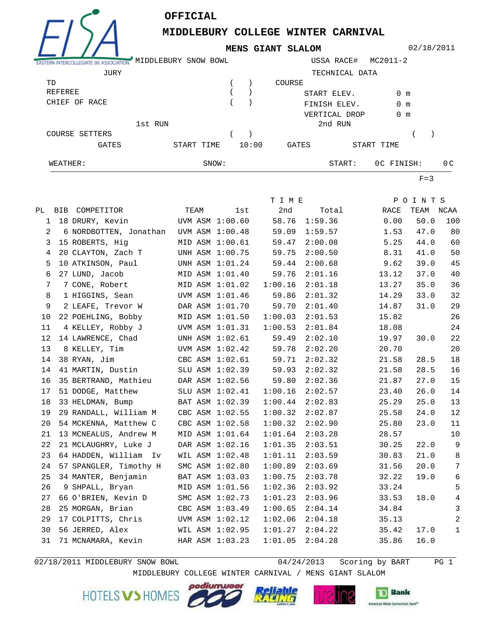

## **OFFICIAL**

**MIDDLEBURY COLLEGE WINTER CARNIVAL**

**MENS GIANT SLALOM**

02/18/2011

| ASTERN INTERCOLLEGIATE SKI | MIDDLEBURY SNOW BOWL |       | USSA RACE#     | MC2011-2      |                |
|----------------------------|----------------------|-------|----------------|---------------|----------------|
| JURY                       |                      |       | TECHNICAL DATA |               |                |
| TD                         |                      |       | COURSE         |               |                |
| REFEREE                    |                      |       | START ELEV.    | 0 m           |                |
| CHIEF OF RACE              |                      |       | FINISH ELEV.   | $0 \text{ m}$ |                |
|                            |                      |       | VERTICAL DROP  | $0 \text{ m}$ |                |
|                            | 1st RUN              |       | 2nd RUN        |               |                |
| COURSE SETTERS             |                      |       |                |               |                |
| GATES                      | START TIME           | 10:00 | GATES          | START TIME    |                |
| WEATHER:                   | SNOW:                |       | START:         | OC FINISH:    | 0 <sup>C</sup> |

 $F=3$ 

|    |                                        |                 |                 | T I M E |         |       | POINTS    |                  |
|----|----------------------------------------|-----------------|-----------------|---------|---------|-------|-----------|------------------|
|    | PL BIB COMPETITOR                      | TEAM            | lst             | 2nd     | Total   | RACE  | TEAM NCAA |                  |
| 1  | 18 DRURY, Kevin                        | UVM ASM 1:00.60 |                 | 58.76   | 1:59.36 | 0.00  | 50.0      | 100              |
| 2  | 6 NORDBOTTEN, Jonathan UVM ASM 1:00.48 |                 |                 | 59.09   | 1:59.57 | 1.53  | 47.0      | 80               |
| 3  | 15 ROBERTS, Hig                        |                 | MID ASM 1:00.61 | 59.47   | 2:00.08 | 5.25  | 44.0      | 60               |
| 4  | 20 CLAYTON, Zach T                     |                 | UNH ASM 1:00.75 | 59.75   | 2:00.50 | 8.31  | 41.0      | 50               |
| 5  | 10 ATKINSON, Paul                      |                 | UNH ASM 1:01.24 | 59.44   | 2:00.68 | 9.62  | 39.0      | 45               |
| 6  | 27 LUND, Jacob                         |                 | MID ASM 1:01.40 | 59.76   | 2:01.16 | 13.12 | 37.0      | 40               |
| 7  | 7 CONE, Robert                         | MID ASM 1:01.02 |                 | 1:00.16 | 2:01.18 | 13.27 | 35.0      | 36               |
| 8  | 1 HIGGINS, Sean                        | UVM ASM 1:01.46 |                 | 59.86   | 2:01.32 | 14.29 | 33.0      | 32               |
| 9  | 2 LEAFE, Trevor W                      | DAR ASM 1:01.70 |                 | 59.70   | 2:01.40 | 14.87 | 31.0      | 29               |
| 10 | 22 POEHLING, Bobby                     |                 | MID ASM 1:01.50 | 1:00.03 | 2:01.53 | 15.82 |           | 26               |
| 11 | 4 KELLEY, Robby J                      |                 | UVM ASM 1:01.31 | 1:00.53 | 2:01.84 | 18.08 |           | 24               |
| 12 | 14 LAWRENCE, Chad                      |                 | UNH ASM 1:02.61 | 59.49   | 2:02.10 | 19.97 | 30.0      | 22               |
| 13 | 8 KELLEY, Tim                          |                 | UVM ASM 1:02.42 | 59.78   | 2:02.20 | 20.70 |           | 20               |
| 14 | 38 RYAN, Jim                           |                 | CBC ASM 1:02.61 | 59.71   | 2:02.32 | 21.58 | 28.5      | $18$             |
| 14 | 41 MARTIN, Dustin                      |                 | SLU ASM 1:02.39 | 59.93   | 2:02.32 | 21.58 | 28.5      | 16               |
| 16 | 35 BERTRAND, Mathieu                   | DAR ASM 1:02.56 |                 | 59.80   | 2:02.36 | 21.87 | 27.0      | 15               |
| 17 | 51 DODGE, Matthew                      |                 | SLU ASM 1:02.41 | 1:00.16 | 2:02.57 | 23.40 | 26.0      | 14               |
| 18 | 33 HELDMAN, Bump                       |                 | BAT ASM 1:02.39 | 1:00.44 | 2:02.83 | 25.29 | 25.0      | 13               |
| 19 | 29 RANDALL, William M                  | CBC ASM 1:02.55 |                 | 1:00.32 | 2:02.87 | 25.58 | 24.0      | 12               |
| 20 | 54 MCKENNA, Matthew C                  |                 | CBC ASM 1:02.58 | 1:00.32 | 2:02.90 | 25.80 | 23.0      | 11               |
| 21 | 13 MCNEALUS, Andrew M                  |                 | MID ASM 1:01.64 | 1:01.64 | 2:03.28 | 28.57 |           | 10               |
| 22 | 21 MCLAUGHRY, Luke J                   |                 | DAR ASM 1:02.16 | 1:01.35 | 2:03.51 | 30.25 | 22.0      | $\mathsf 9$      |
| 23 | 64 HADDEN, William Iv                  |                 | WIL ASM 1:02.48 | 1:01.11 | 2:03.59 | 30.83 | 21.0      | $\,8\,$          |
| 24 | 57 SPANGLER, Timothy H                 |                 | SMC ASM 1:02.80 | 1:00.89 | 2:03.69 | 31.56 | 20.0      | $\boldsymbol{7}$ |
| 25 | 34 MANTER, Benjamin                    |                 | BAT ASM 1:03.03 | 1:00.75 | 2:03.78 | 32.22 | 19.0      | 6                |
| 26 | 9 SHPALL, Bryan                        |                 | MID ASM 1:01.56 | 1:02.36 | 2:03.92 | 33.24 |           | 5                |
| 27 | 66 O'BRIEN, Kevin D                    |                 | SMC ASM 1:02.73 | 1:01.23 | 2:03.96 | 33.53 | 18.0      | $\,4$            |
| 28 | 25 MORGAN, Brian                       |                 | CBC ASM 1:03.49 | 1:00.65 | 2:04.14 | 34.84 |           | $\mathbf{3}$     |
| 29 | 17 COLPITTS, Chris                     | UVM ASM 1:02.12 |                 | 1:02.06 | 2:04.18 | 35.13 |           | $\overline{2}$   |
| 30 | 56 JERRED, Alex                        | WIL ASM 1:02.95 |                 | 1:01.27 | 2:04.22 | 35.42 | 17.0      | $\mathbf 1$      |
| 31 | 71 MCNAMARA, Kevin                     | HAR ASM 1:03.23 |                 | 1:01.05 | 2:04.28 | 35.86 | 16.0      |                  |

 $02/18/2011$  MIDDLEBURY SNOW BOWL

 $04/24/2013$  Scoring by BART PG 1

MIDDLEBURY COLLEGE WINTER CARNIVAL / MENS GIANT SLALOM